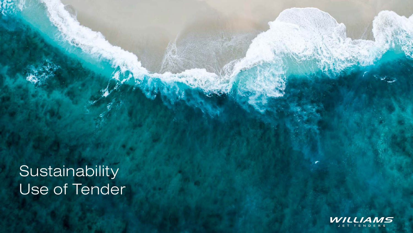Sustainability Use of Tender



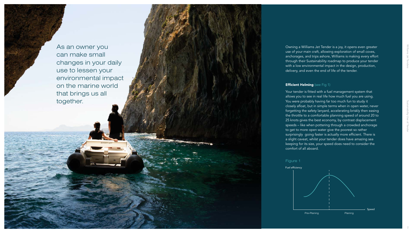As an owner you can make small changes in your daily use to lessen your environmental impact on the marine world that brings us all together.



Owning a Williams Jet Tender is a joy, it opens even greater use of your main craft, allowing exploration of small coves, anchorages, and trips ashore, Williams is making every effort through their Sustainability roadmap to produce your tender with a low environmental impact in the design, production, delivery, and even the end of life of the tender.

## **Efficient Helming** (see Fig 1)

Your tender is fitted with a fuel management system that allows you to see in real life how much fuel you are using. You were probably having far too much fun to study it closely afloat, but in simple terms when in open water, never forgetting the safety lanyard, accelerating briskly then easing the throttle to a comfortable planning speed of around 20 to 25 knots gives the best economy, by contrast displacement speeds – like when pottering through a crowded anchorage to get to more open water give the poorest so rather surprisingly going faster is actually more efficient. There is a slight caveat, whilst your tender does have amazing sea keeping for its size, your speed does need to consider the comfort of all aboard.

2





Sustainability Use of Tender Williams Jet Tenders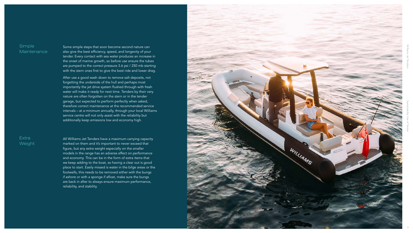After use a good wash down to remove salt deposits, not forgetting the underside of the hull and perhaps most importantly the jet drive system flushed through with fresh water will make it ready for next time. Tenders by their very nature are often forgotten on the stern or in the tender garage, but expected to perform perfectly when asked, therefore correct maintenance at the recommended service intervals – at a minimum annually, through your local Williams service centre will not only assist with the reliability but additionally keep emissions low and economy high.

## **Extra Weight**

## Simple **Maintenance**

Some simple steps that soon become second nature can also give the best efficiency, speed, and longevity of your tender. Every contact with sea water produces an increase in the onset of marine growth, so before use ensure the tubes are pumped to the correct pressure 3.6 psi / 250 mb starting with the stern ones first to give the best ride and lower drag.

All Williams Jet Tenders have a maximum carrying capacity marked on them and it's important to never exceed that figure, but any extra weight especially on the smaller models in the range has an adverse effect on performance and economy. This can be in the form of extra items that we keep adding to the boat, so having a clear out is good place to start. Easily missed is water in the bilge areas or the footwells, this needs to be removed either with the bungs if ashore or with a sponge if afloat, make sure the bungs are back in after to always ensure maximum performance, reliability, and stability.





Williams Jet Tenders<br>Williams Jet Tenders